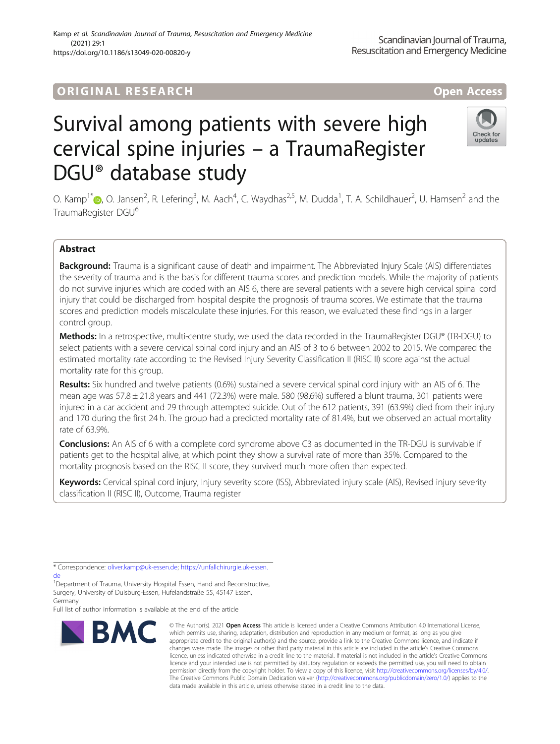# **ORIGINAL RESEARCH And Access** open Access

# Survival among patients with severe high cervical spine injuries – a TraumaRegister DGU® database study

O. Kamp<sup>1[\\*](http://orcid.org/0000-0001-7593-4471)</sup>®, O. Jansen<sup>2</sup>, R. Lefering<sup>3</sup>, M. Aach<sup>4</sup>, C. Waydhas<sup>2,5</sup>, M. Dudda<sup>1</sup>, T. A. Schildhauer<sup>2</sup>, U. Hamsen<sup>2</sup> and the TraumaRegister DGU<sup>6</sup>

## Abstract

Background: Trauma is a significant cause of death and impairment. The Abbreviated Injury Scale (AIS) differentiates the severity of trauma and is the basis for different trauma scores and prediction models. While the majority of patients do not survive injuries which are coded with an AIS 6, there are several patients with a severe high cervical spinal cord injury that could be discharged from hospital despite the prognosis of trauma scores. We estimate that the trauma scores and prediction models miscalculate these injuries. For this reason, we evaluated these findings in a larger control group.

Methods: In a retrospective, multi-centre study, we used the data recorded in the TraumaRegister DGU® (TR-DGU) to select patients with a severe cervical spinal cord injury and an AIS of 3 to 6 between 2002 to 2015. We compared the estimated mortality rate according to the Revised Injury Severity Classification II (RISC II) score against the actual mortality rate for this group.

Results: Six hundred and twelve patients (0.6%) sustained a severe cervical spinal cord injury with an AIS of 6. The mean age was 57.8 ± 21.8 years and 441 (72.3%) were male. 580 (98.6%) suffered a blunt trauma, 301 patients were injured in a car accident and 29 through attempted suicide. Out of the 612 patients, 391 (63.9%) died from their injury and 170 during the first 24 h. The group had a predicted mortality rate of 81.4%, but we observed an actual mortality rate of 63.9%.

**Conclusions:** An AIS of 6 with a complete cord syndrome above C3 as documented in the TR-DGU is survivable if patients get to the hospital alive, at which point they show a survival rate of more than 35%. Compared to the mortality prognosis based on the RISC II score, they survived much more often than expected.

Keywords: Cervical spinal cord injury, Injury severity score (ISS), Abbreviated injury scale (AIS), Revised injury severity classification II (RISC II), Outcome, Trauma register

Full list of author information is available at the end of the article

**BMC** 

© The Author(s), 2021 **Open Access** This article is licensed under a Creative Commons Attribution 4.0 International License, which permits use, sharing, adaptation, distribution and reproduction in any medium or format, as long as you give appropriate credit to the original author(s) and the source, provide a link to the Creative Commons licence, and indicate if changes were made. The images or other third party material in this article are included in the article's Creative Commons licence, unless indicated otherwise in a credit line to the material. If material is not included in the article's Creative Commons licence and your intended use is not permitted by statutory regulation or exceeds the permitted use, you will need to obtain permission directly from the copyright holder. To view a copy of this licence, visit [http://creativecommons.org/licenses/by/4.0/.](http://creativecommons.org/licenses/by/4.0/) The Creative Commons Public Domain Dedication waiver [\(http://creativecommons.org/publicdomain/zero/1.0/](http://creativecommons.org/publicdomain/zero/1.0/)) applies to the data made available in this article, unless otherwise stated in a credit line to the data.







<sup>\*</sup> Correspondence: [oliver.kamp@uk-essen.de;](mailto:oliver.kamp@uk-essen.de) [https://unfallchirurgie.uk-essen.](https://unfallchirurgie.uk-essen.de) [de](https://unfallchirurgie.uk-essen.de)

<sup>&</sup>lt;sup>1</sup>Department of Trauma, University Hospital Essen, Hand and Reconstructive, Surgery, University of Duisburg-Essen, Hufelandstraße 55, 45147 Essen, Germany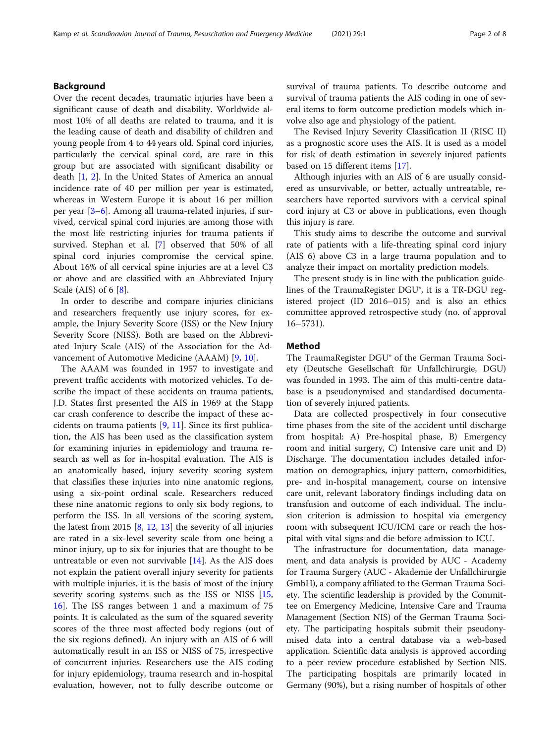### Background

Over the recent decades, traumatic injuries have been a significant cause of death and disability. Worldwide almost 10% of all deaths are related to trauma, and it is the leading cause of death and disability of children and young people from 4 to 44 years old. Spinal cord injuries, particularly the cervical spinal cord, are rare in this group but are associated with significant disability or death [\[1](#page-6-0), [2\]](#page-6-0). In the United States of America an annual incidence rate of 40 per million per year is estimated, whereas in Western Europe it is about 16 per million per year [\[3](#page-6-0)–[6](#page-6-0)]. Among all trauma-related injuries, if survived, cervical spinal cord injuries are among those with the most life restricting injuries for trauma patients if survived. Stephan et al. [[7\]](#page-6-0) observed that 50% of all spinal cord injuries compromise the cervical spine. About 16% of all cervical spine injuries are at a level C3 or above and are classified with an Abbreviated Injury Scale (AIS) of 6 [[8\]](#page-6-0).

In order to describe and compare injuries clinicians and researchers frequently use injury scores, for example, the Injury Severity Score (ISS) or the New Injury Severity Score (NISS). Both are based on the Abbreviated Injury Scale (AIS) of the Association for the Advancement of Automotive Medicine (AAAM) [[9,](#page-6-0) [10](#page-6-0)].

The AAAM was founded in 1957 to investigate and prevent traffic accidents with motorized vehicles. To describe the impact of these accidents on trauma patients, J.D. States first presented the AIS in 1969 at the Stapp car crash conference to describe the impact of these accidents on trauma patients  $[9, 11]$  $[9, 11]$  $[9, 11]$  $[9, 11]$ . Since its first publication, the AIS has been used as the classification system for examining injuries in epidemiology and trauma research as well as for in-hospital evaluation. The AIS is an anatomically based, injury severity scoring system that classifies these injuries into nine anatomic regions, using a six-point ordinal scale. Researchers reduced these nine anatomic regions to only six body regions, to perform the ISS. In all versions of the scoring system, the latest from 2015 [[8,](#page-6-0) [12,](#page-6-0) [13\]](#page-6-0) the severity of all injuries are rated in a six-level severity scale from one being a minor injury, up to six for injuries that are thought to be untreatable or even not survivable [[14](#page-6-0)]. As the AIS does not explain the patient overall injury severity for patients with multiple injuries, it is the basis of most of the injury severity scoring systems such as the ISS or NISS [[15](#page-6-0), [16\]](#page-6-0). The ISS ranges between 1 and a maximum of 75 points. It is calculated as the sum of the squared severity scores of the three most affected body regions (out of the six regions defined). An injury with an AIS of 6 will automatically result in an ISS or NISS of 75, irrespective of concurrent injuries. Researchers use the AIS coding for injury epidemiology, trauma research and in-hospital evaluation, however, not to fully describe outcome or

survival of trauma patients. To describe outcome and survival of trauma patients the AIS coding in one of several items to form outcome prediction models which involve also age and physiology of the patient.

The Revised Injury Severity Classification II (RISC II) as a prognostic score uses the AIS. It is used as a model for risk of death estimation in severely injured patients based on 15 different items [\[17](#page-6-0)].

Although injuries with an AIS of 6 are usually considered as unsurvivable, or better, actually untreatable, researchers have reported survivors with a cervical spinal cord injury at C3 or above in publications, even though this injury is rare.

This study aims to describe the outcome and survival rate of patients with a life-threating spinal cord injury (AIS 6) above C3 in a large trauma population and to analyze their impact on mortality prediction models.

The present study is in line with the publication guidelines of the TraumaRegister DGU®, it is a TR-DGU registered project (ID 2016–015) and is also an ethics committee approved retrospective study (no. of approval 16–5731).

#### Method

The TraumaRegister DGU® of the German Trauma Society (Deutsche Gesellschaft für Unfallchirurgie, DGU) was founded in 1993. The aim of this multi-centre database is a pseudonymised and standardised documentation of severely injured patients.

Data are collected prospectively in four consecutive time phases from the site of the accident until discharge from hospital: A) Pre-hospital phase, B) Emergency room and initial surgery, C) Intensive care unit and D) Discharge. The documentation includes detailed information on demographics, injury pattern, comorbidities, pre- and in-hospital management, course on intensive care unit, relevant laboratory findings including data on transfusion and outcome of each individual. The inclusion criterion is admission to hospital via emergency room with subsequent ICU/ICM care or reach the hospital with vital signs and die before admission to ICU.

The infrastructure for documentation, data management, and data analysis is provided by AUC - Academy for Trauma Surgery (AUC - Akademie der Unfallchirurgie GmbH), a company affiliated to the German Trauma Society. The scientific leadership is provided by the Committee on Emergency Medicine, Intensive Care and Trauma Management (Section NIS) of the German Trauma Society. The participating hospitals submit their pseudonymised data into a central database via a web-based application. Scientific data analysis is approved according to a peer review procedure established by Section NIS. The participating hospitals are primarily located in Germany (90%), but a rising number of hospitals of other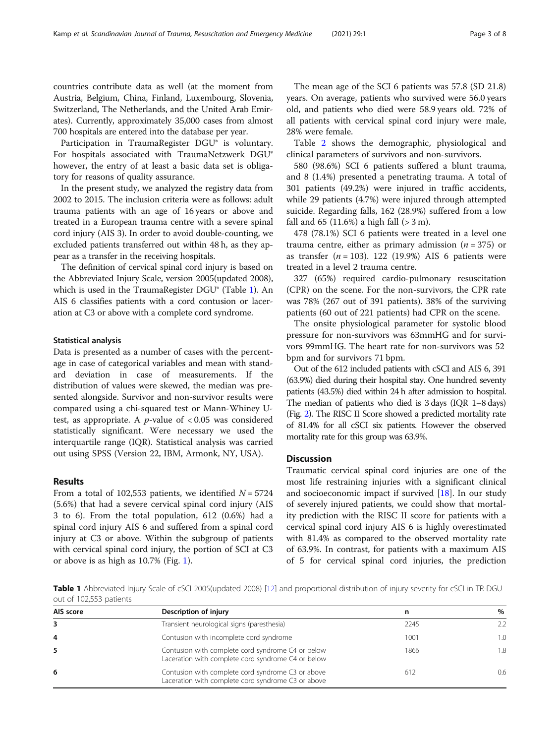countries contribute data as well (at the moment from Austria, Belgium, China, Finland, Luxembourg, Slovenia, Switzerland, The Netherlands, and the United Arab Emirates). Currently, approximately 35,000 cases from almost 700 hospitals are entered into the database per year.

Participation in TraumaRegister DGU® is voluntary. For hospitals associated with TraumaNetzwerk DGU® however, the entry of at least a basic data set is obligatory for reasons of quality assurance.

In the present study, we analyzed the registry data from 2002 to 2015. The inclusion criteria were as follows: adult trauma patients with an age of 16 years or above and treated in a European trauma centre with a severe spinal cord injury (AIS 3). In order to avoid double-counting, we excluded patients transferred out within 48 h, as they appear as a transfer in the receiving hospitals.

The definition of cervical spinal cord injury is based on the Abbreviated Injury Scale, version 2005(updated 2008), which is used in the TraumaRegister DGU® (Table 1). An AIS 6 classifies patients with a cord contusion or laceration at C3 or above with a complete cord syndrome.

#### Statistical analysis

Data is presented as a number of cases with the percentage in case of categorical variables and mean with standard deviation in case of measurements. If the distribution of values were skewed, the median was presented alongside. Survivor and non-survivor results were compared using a chi-squared test or Mann-Whiney Utest, as appropriate. A  $p$ -value of  $< 0.05$  was considered statistically significant. Were necessary we used the interquartile range (IQR). Statistical analysis was carried out using SPSS (Version 22, IBM, Armonk, NY, USA).

#### Results

From a total of 102,553 patients, we identified  $N = 5724$ (5.6%) that had a severe cervical spinal cord injury (AIS 3 to 6). From the total population, 612 (0.6%) had a spinal cord injury AIS 6 and suffered from a spinal cord injury at C3 or above. Within the subgroup of patients with cervical spinal cord injury, the portion of SCI at C3 or above is as high as 10.7% (Fig. [1](#page-3-0)).

The mean age of the SCI 6 patients was 57.8 (SD 21.8) years. On average, patients who survived were 56.0 years old, and patients who died were 58.9 years old. 72% of all patients with cervical spinal cord injury were male, 28% were female.

Table [2](#page-3-0) shows the demographic, physiological and clinical parameters of survivors and non-survivors.

580 (98.6%) SCI 6 patients suffered a blunt trauma, and 8 (1.4%) presented a penetrating trauma. A total of 301 patients (49.2%) were injured in traffic accidents, while 29 patients (4.7%) were injured through attempted suicide. Regarding falls, 162 (28.9%) suffered from a low fall and  $65$  (11.6%) a high fall ( $> 3$  m).

478 (78.1%) SCI 6 patients were treated in a level one trauma centre, either as primary admission ( $n = 375$ ) or as transfer  $(n = 103)$ . 122 (19.9%) AIS 6 patients were treated in a level 2 trauma centre.

327 (65%) required cardio-pulmonary resuscitation (CPR) on the scene. For the non-survivors, the CPR rate was 78% (267 out of 391 patients). 38% of the surviving patients (60 out of 221 patients) had CPR on the scene.

The onsite physiological parameter for systolic blood pressure for non-survivors was 63mmHG and for survivors 99mmHG. The heart rate for non-survivors was 52 bpm and for survivors 71 bpm.

Out of the 612 included patients with cSCI and AIS 6, 391 (63.9%) died during their hospital stay. One hundred seventy patients (43.5%) died within 24 h after admission to hospital. The median of patients who died is 3 days (IQR 1–8 days) (Fig. [2](#page-4-0)). The RISC II Score showed a predicted mortality rate of 81.4% for all cSCI six patients. However the observed mortality rate for this group was 63.9%.

#### **Discussion**

Traumatic cervical spinal cord injuries are one of the most life restraining injuries with a significant clinical and socioeconomic impact if survived [\[18](#page-7-0)]. In our study of severely injured patients, we could show that mortality prediction with the RISC II score for patients with a cervical spinal cord injury AIS 6 is highly overestimated with 81.4% as compared to the observed mortality rate of 63.9%. In contrast, for patients with a maximum AIS of 5 for cervical spinal cord injuries, the prediction

Table 1 Abbreviated Injury Scale of cSCI 2005(updated 2008) [[12](#page-6-0)] and proportional distribution of injury severity for cSCI in TR-DGU out of 102,553 patients

| AIS score | Description of injury                                                                                   | n    | $\%$ |
|-----------|---------------------------------------------------------------------------------------------------------|------|------|
|           | Transient neurological signs (paresthesia)                                                              | 2245 | 22   |
| 4         | Contusion with incomplete cord syndrome                                                                 | 1001 | 1.0  |
| 5         | Contusion with complete cord syndrome C4 or below<br>Laceration with complete cord syndrome C4 or below | 1866 | 1.8  |
| 6         | Contusion with complete cord syndrome C3 or above<br>Laceration with complete cord syndrome C3 or above | 612  | 0.6  |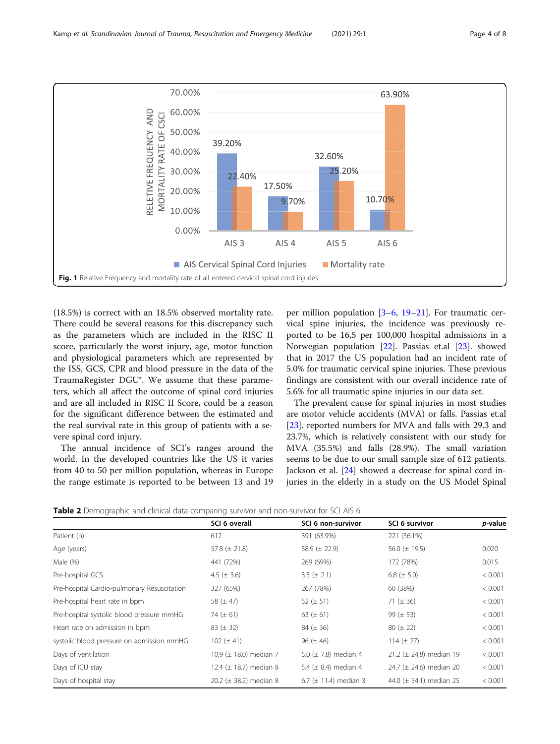<span id="page-3-0"></span>

(18.5%) is correct with an 18.5% observed mortality rate. There could be several reasons for this discrepancy such as the parameters which are included in the RISC II score, particularly the worst injury, age, motor function and physiological parameters which are represented by the ISS, GCS, CPR and blood pressure in the data of the TraumaRegister DGU®. We assume that these parameters, which all affect the outcome of spinal cord injuries and are all included in RISC II Score, could be a reason for the significant difference between the estimated and the real survival rate in this group of patients with a severe spinal cord injury.

The annual incidence of SCI's ranges around the world. In the developed countries like the US it varies from 40 to 50 per million population, whereas in Europe the range estimate is reported to be between 13 and 19

per million population [[3](#page-6-0)–[6](#page-6-0), [19](#page-7-0)–[21\]](#page-7-0). For traumatic cervical spine injuries, the incidence was previously reported to be 16,5 per 100,000 hospital admissions in a Norwegian population [[22](#page-7-0)]. Passias et.al [\[23](#page-7-0)]. showed that in 2017 the US population had an incident rate of 5.0% for traumatic cervical spine injuries. These previous findings are consistent with our overall incidence rate of 5.6% for all traumatic spine injuries in our data set.

The prevalent cause for spinal injuries in most studies are motor vehicle accidents (MVA) or falls. Passias et.al [[23\]](#page-7-0). reported numbers for MVA and falls with 29.3 and 23.7%, which is relatively consistent with our study for MVA (35.5%) and falls (28.9%). The small variation seems to be due to our small sample size of 612 patients. Jackson et al. [\[24\]](#page-7-0) showed a decrease for spinal cord injuries in the elderly in a study on the US Model Spinal

**Table 2** Demographic and clinical data comparing survivor and non-survivor for SCI AIS 6

|                                             | SCI 6 overall               | SCI 6 non-survivor         | SCI 6 survivor               | p-value |
|---------------------------------------------|-----------------------------|----------------------------|------------------------------|---------|
| Patient (n)                                 | 612                         | 391 (63.9%)                | 221 (36.1%)                  |         |
| Age (years)                                 | 57.8 $(\pm 21.8)$           | 58.9 $(\pm 22.9)$          | 56.0 ( $\pm$ 19.5)           | 0.020   |
| Male (%)                                    | 441 (72%)                   | 269 (69%)                  | 172 (78%)                    | 0.015   |
| Pre-hospital GCS                            | 4.5 ( $\pm$ 3.6)            | 3.5 $(\pm 2.1)$            | 6.8 ( $\pm$ 5.0)             | < 0.001 |
| Pre-hospital Cardio-pulmonary Resuscitation | 327 (65%)                   | 267 (78%)                  | 60 (38%)                     | < 0.001 |
| Pre-hospital heart rate in bpm              | 58 $(\pm 47)$               | 52 ( $\pm$ 51)             | 71 ( $\pm$ 36)               | < 0.001 |
| Pre-hospital systolic blood pressure mmHG   | 74 ( $\pm$ 61)              | 63 ( $\pm$ 61)             | 99 $(\pm 53)$                | < 0.001 |
| Heart rate on admission in bpm              | $83 (\pm 32)$               | $84 (\pm 36)$              | $80 (\pm 22)$                | < 0.001 |
| systolic blood pressure on admission mmHG   | 102 ( $\pm$ 41)             | $96 (\pm 46)$              | 114 $(\pm 27)$               | < 0.001 |
| Days of ventilation                         | 10,9 ( $\pm$ 18.0) median 7 | 5.0 ( $\pm$ 7.8) median 4  | 21,2 ( $\pm$ 24,8) median 19 | < 0.001 |
| Days of ICU stay                            | 12.4 ( $\pm$ 18.7) median 8 | 5.4 ( $\pm$ 8.4) median 4  | 24.7 ( $\pm$ 24.6) median 20 | < 0.001 |
| Days of hospital stay                       | 20.2 ( $\pm$ 38.2) median 8 | 6.7 ( $\pm$ 11.4) median 3 | 44.0 ( $\pm$ 54.1) median 25 | < 0.001 |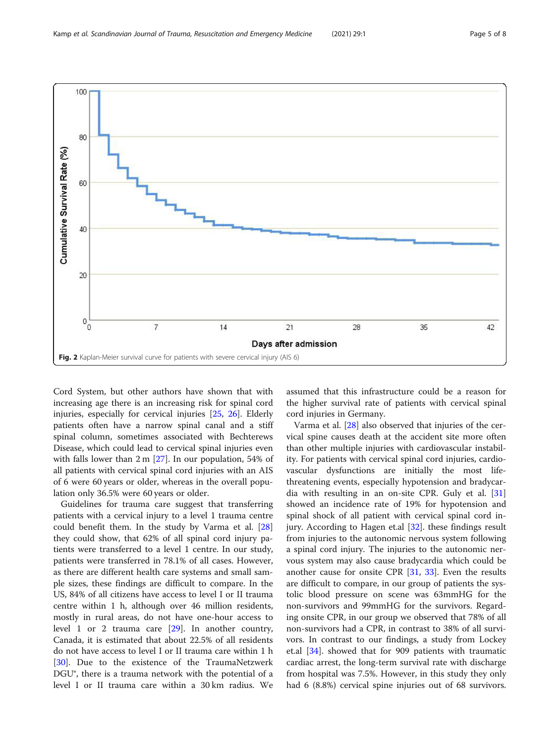<span id="page-4-0"></span>

Cord System, but other authors have shown that with increasing age there is an increasing risk for spinal cord injuries, especially for cervical injuries [\[25,](#page-7-0) [26](#page-7-0)]. Elderly patients often have a narrow spinal canal and a stiff spinal column, sometimes associated with Bechterews Disease, which could lead to cervical spinal injuries even with falls lower than 2 m [[27\]](#page-7-0). In our population, 54% of all patients with cervical spinal cord injuries with an AIS of 6 were 60 years or older, whereas in the overall population only 36.5% were 60 years or older.

Guidelines for trauma care suggest that transferring patients with a cervical injury to a level 1 trauma centre could benefit them. In the study by Varma et al. [[28](#page-7-0)] they could show, that 62% of all spinal cord injury patients were transferred to a level 1 centre. In our study, patients were transferred in 78.1% of all cases. However, as there are different health care systems and small sample sizes, these findings are difficult to compare. In the US, 84% of all citizens have access to level I or II trauma centre within 1 h, although over 46 million residents, mostly in rural areas, do not have one-hour access to level 1 or 2 trauma care [\[29\]](#page-7-0). In another country, Canada, it is estimated that about 22.5% of all residents do not have access to level I or II trauma care within 1 h [[30\]](#page-7-0). Due to the existence of the TraumaNetzwerk DGU<sup>®</sup>, there is a trauma network with the potential of a level I or II trauma care within a 30 km radius. We assumed that this infrastructure could be a reason for the higher survival rate of patients with cervical spinal cord injuries in Germany.

Varma et al. [\[28\]](#page-7-0) also observed that injuries of the cervical spine causes death at the accident site more often than other multiple injuries with cardiovascular instability. For patients with cervical spinal cord injuries, cardiovascular dysfunctions are initially the most lifethreatening events, especially hypotension and bradycardia with resulting in an on-site CPR. Guly et al. [[31](#page-7-0)] showed an incidence rate of 19% for hypotension and spinal shock of all patient with cervical spinal cord injury. According to Hagen et.al [[32\]](#page-7-0). these findings result from injuries to the autonomic nervous system following a spinal cord injury. The injuries to the autonomic nervous system may also cause bradycardia which could be another cause for onsite CPR [\[31,](#page-7-0) [33\]](#page-7-0). Even the results are difficult to compare, in our group of patients the systolic blood pressure on scene was 63mmHG for the non-survivors and 99mmHG for the survivors. Regarding onsite CPR, in our group we observed that 78% of all non-survivors had a CPR, in contrast to 38% of all survivors. In contrast to our findings, a study from Lockey et.al [\[34\]](#page-7-0). showed that for 909 patients with traumatic cardiac arrest, the long-term survival rate with discharge from hospital was 7.5%. However, in this study they only had 6 (8.8%) cervical spine injuries out of 68 survivors.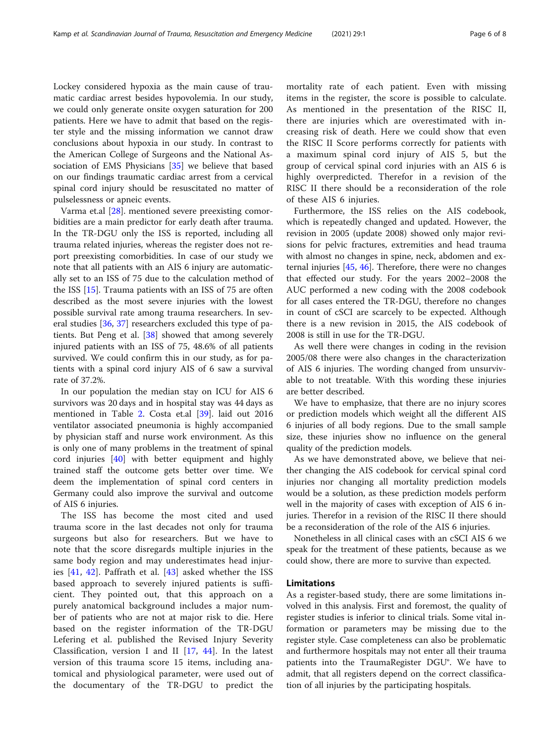Lockey considered hypoxia as the main cause of traumatic cardiac arrest besides hypovolemia. In our study, we could only generate onsite oxygen saturation for 200 patients. Here we have to admit that based on the register style and the missing information we cannot draw conclusions about hypoxia in our study. In contrast to the American College of Surgeons and the National Association of EMS Physicians [[35\]](#page-7-0) we believe that based on our findings traumatic cardiac arrest from a cervical spinal cord injury should be resuscitated no matter of pulselessness or apneic events.

Varma et.al [\[28](#page-7-0)]. mentioned severe preexisting comorbidities are a main predictor for early death after trauma. In the TR-DGU only the ISS is reported, including all trauma related injuries, whereas the register does not report preexisting comorbidities. In case of our study we note that all patients with an AIS 6 injury are automatically set to an ISS of 75 due to the calculation method of the ISS [[15\]](#page-6-0). Trauma patients with an ISS of 75 are often described as the most severe injuries with the lowest possible survival rate among trauma researchers. In several studies [\[36,](#page-7-0) [37\]](#page-7-0) researchers excluded this type of patients. But Peng et al. [\[38\]](#page-7-0) showed that among severely injured patients with an ISS of 75, 48.6% of all patients survived. We could confirm this in our study, as for patients with a spinal cord injury AIS of 6 saw a survival rate of 37.2%.

In our population the median stay on ICU for AIS 6 survivors was 20 days and in hospital stay was 44 days as mentioned in Table [2.](#page-3-0) Costa et.al [\[39\]](#page-7-0). laid out 2016 ventilator associated pneumonia is highly accompanied by physician staff and nurse work environment. As this is only one of many problems in the treatment of spinal cord injuries [[40\]](#page-7-0) with better equipment and highly trained staff the outcome gets better over time. We deem the implementation of spinal cord centers in Germany could also improve the survival and outcome of AIS 6 injuries.

The ISS has become the most cited and used trauma score in the last decades not only for trauma surgeons but also for researchers. But we have to note that the score disregards multiple injuries in the same body region and may underestimates head injuries [\[41](#page-7-0), [42\]](#page-7-0). Paffrath et al. [[43](#page-7-0)] asked whether the ISS based approach to severely injured patients is sufficient. They pointed out, that this approach on a purely anatomical background includes a major number of patients who are not at major risk to die. Here based on the register information of the TR-DGU Lefering et al. published the Revised Injury Severity Classification, version I and II  $[17, 44]$  $[17, 44]$  $[17, 44]$  $[17, 44]$ . In the latest version of this trauma score 15 items, including anatomical and physiological parameter, were used out of the documentary of the TR-DGU to predict the

mortality rate of each patient. Even with missing items in the register, the score is possible to calculate. As mentioned in the presentation of the RISC II, there are injuries which are overestimated with increasing risk of death. Here we could show that even the RISC II Score performs correctly for patients with a maximum spinal cord injury of AIS 5, but the group of cervical spinal cord injuries with an AIS 6 is highly overpredicted. Therefor in a revision of the RISC II there should be a reconsideration of the role of these AIS 6 injuries.

Furthermore, the ISS relies on the AIS codebook, which is repeatedly changed and updated. However, the revision in 2005 (update 2008) showed only major revisions for pelvic fractures, extremities and head trauma with almost no changes in spine, neck, abdomen and external injuries [[45,](#page-7-0) [46](#page-7-0)]. Therefore, there were no changes that effected our study. For the years 2002–2008 the AUC performed a new coding with the 2008 codebook for all cases entered the TR-DGU, therefore no changes in count of cSCI are scarcely to be expected. Although there is a new revision in 2015, the AIS codebook of 2008 is still in use for the TR-DGU.

As well there were changes in coding in the revision 2005/08 there were also changes in the characterization of AIS 6 injuries. The wording changed from unsurvivable to not treatable. With this wording these injuries are better described.

We have to emphasize, that there are no injury scores or prediction models which weight all the different AIS 6 injuries of all body regions. Due to the small sample size, these injuries show no influence on the general quality of the prediction models.

As we have demonstrated above, we believe that neither changing the AIS codebook for cervical spinal cord injuries nor changing all mortality prediction models would be a solution, as these prediction models perform well in the majority of cases with exception of AIS 6 injuries. Therefor in a revision of the RISC II there should be a reconsideration of the role of the AIS 6 injuries.

Nonetheless in all clinical cases with an cSCI AIS 6 we speak for the treatment of these patients, because as we could show, there are more to survive than expected.

#### Limitations

As a register-based study, there are some limitations involved in this analysis. First and foremost, the quality of register studies is inferior to clinical trials. Some vital information or parameters may be missing due to the register style. Case completeness can also be problematic and furthermore hospitals may not enter all their trauma patients into the TraumaRegister DGU®. We have to admit, that all registers depend on the correct classification of all injuries by the participating hospitals.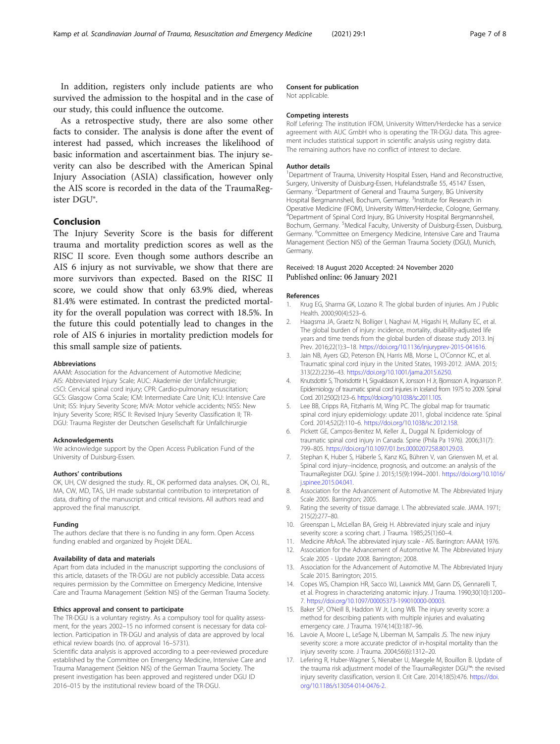<span id="page-6-0"></span>In addition, registers only include patients are who survived the admission to the hospital and in the case of our study, this could influence the outcome.

As a retrospective study, there are also some other facts to consider. The analysis is done after the event of interest had passed, which increases the likelihood of basic information and ascertainment bias. The injury severity can also be described with the American Spinal Injury Association (ASIA) classification, however only the AIS score is recorded in the data of the TraumaRegister DGU®.

#### Conclusion

The Injury Severity Score is the basis for different trauma and mortality prediction scores as well as the RISC II score. Even though some authors describe an AIS 6 injury as not survivable, we show that there are more survivors than expected. Based on the RISC II score, we could show that only 63.9% died, whereas 81.4% were estimated. In contrast the predicted mortality for the overall population was correct with 18.5%. In the future this could potentially lead to changes in the role of AIS 6 injuries in mortality prediction models for this small sample size of patients.

#### Abbreviations

AAAM: Association for the Advancement of Automotive Medicine; AIS: Abbreviated Injury Scale; AUC: Akademie der Unfallchirurgie; cSCI: Cervical spinal cord injury; CPR: Cardio-pulmonary resuscitation; GCS: Glasgow Coma Scale; ICM: Intermediate Care Unit; ICU: Intensive Care Unit; ISS: Injury Severity Score; MVA: Motor vehicle accidents; NISS: New Injury Severity Score; RISC II: Revised Injury Severity Classification II; TR-DGU: Trauma Register der Deutschen Gesellschaft für Unfallchirurgie

#### Acknowledgements

We acknowledge support by the Open Access Publication Fund of the University of Duisburg-Essen.

#### Authors' contributions

OK, UH, CW designed the study. RL, OK performed data analyses. OK, OJ, RL, MA, CW, MD, TAS, UH made substantial contribution to interpretation of data, drafting of the manuscript and critical revisions. All authors read and approved the final manuscript.

#### Funding

The authors declare that there is no funding in any form. Open Access funding enabled and organized by Projekt DEAL.

#### Availability of data and materials

Apart from data included in the manuscript supporting the conclusions of this article, datasets of the TR-DGU are not publicly accessible. Data access requires permission by the Committee on Emergency Medicine, Intensive Care and Trauma Management (Sektion NIS) of the German Trauma Society.

#### Ethics approval and consent to participate

The TR-DGU is a voluntary registry. As a compulsory tool for quality assessment, for the years 2002–15 no informed consent is necessary for data collection. Participation in TR-DGU and analysis of data are approved by local ethical review boards (no. of approval 16–5731).

Scientific data analysis is approved according to a peer-reviewed procedure established by the Committee on Emergency Medicine, Intensive Care and Trauma Management (Sektion NIS) of the German Trauma Society. The present investigation has been approved and registered under DGU ID 2016–015 by the institutional review board of the TR-DGU.

#### Consent for publication

Not applicable.

#### Competing interests

Rolf Lefering: The institution IFOM, University Witten/Herdecke has a service agreement with AUC GmbH who is operating the TR-DGU data. This agreement includes statistical support in scientific analysis using registry data. The remaining authors have no conflict of interest to declare.

#### Author details

<sup>1</sup>Department of Trauma, University Hospital Essen, Hand and Reconstructive, Surgery, University of Duisburg-Essen, Hufelandstraße 55, 45147 Essen, Germany. <sup>2</sup>Department of General and Trauma Surgery, BG University Hospital Bergmannsheil, Bochum, Germany. <sup>3</sup>Institute for Research in Operative Medicine (IFOM), University Witten/Herdecke, Cologne, Germany. <sup>4</sup>Department of Spinal Cord Injury, BG University Hospital Bergmannsheil Bochum, Germany. <sup>5</sup>Medical Faculty, University of Duisburg-Essen, Duisburg Germany. <sup>6</sup>Committee on Emergency Medicine, Intensive Care and Trauma Management (Section NIS) of the German Trauma Society (DGU), Munich, Germany.

#### Received: 18 August 2020 Accepted: 24 November 2020 Published online: 06 January 2021

#### References

- 1. Krug EG, Sharma GK, Lozano R. The global burden of injuries. Am J Public Health. 2000;90(4):523–6.
- 2. Haagsma JA, Graetz N, Bolliger I, Naghavi M, Higashi H, Mullany EC, et al. The global burden of injury: incidence, mortality, disability-adjusted life years and time trends from the global burden of disease study 2013. Inj Prev. 2016;22(1):3–18. <https://doi.org/10.1136/injuryprev-2015-041616>.
- 3. Jain NB, Ayers GD, Peterson EN, Harris MB, Morse L, O'Connor KC, et al. Traumatic spinal cord injury in the United States, 1993-2012. JAMA. 2015; 313(22):2236–43. [https://doi.org/10.1001/jama.2015.6250.](https://doi.org/10.1001/jama.2015.6250)
- 4. Knutsdottir S, Thorisdottir H, Sigvaldason K, Jonsson H Jr, Bjornsson A, Ingvarsson P. Epidemiology of traumatic spinal cord injuries in Iceland from 1975 to 2009. Spinal Cord. 2012;50(2):123–6. [https://doi.org/10.1038/sc.2011.105.](https://doi.org/10.1038/sc.2011.105)
- 5. Lee BB, Cripps RA, Fitzharris M, Wing PC. The global map for traumatic spinal cord injury epidemiology: update 2011, global incidence rate. Spinal Cord. 2014;52(2):110–6. <https://doi.org/10.1038/sc.2012.158>.
- 6. Pickett GE, Campos-Benitez M, Keller JL, Duggal N. Epidemiology of traumatic spinal cord injury in Canada. Spine (Phila Pa 1976). 2006;31(7): 799–805. <https://doi.org/10.1097/01.brs.0000207258.80129.03>.
- 7. Stephan K, Huber S, Häberle S, Kanz KG, Bühren V, van Griensven M, et al. Spinal cord injury--incidence, prognosis, and outcome: an analysis of the TraumaRegister DGU. Spine J. 2015;15(9):1994–2001. [https://doi.org/10.1016/](https://doi.org/10.1016/j.spinee.2015.04.041) [j.spinee.2015.04.041](https://doi.org/10.1016/j.spinee.2015.04.041).
- 8. Association for the Advancement of Automotive M. The Abbreviated Injury Scale 2005. Barrington; 2005.
- 9. Rating the severity of tissue damage. I. The abbreviated scale. JAMA. 1971; 215(2):277–80.
- 10. Greenspan L, McLellan BA, Greig H. Abbreviated injury scale and injury severity score: a scoring chart. J Trauma. 1985;25(1):60-4.
- 11. Medicine AftAoA. The abbreviated injury scale AIS. Barrington: AAAM; 1976.
- 12. Association for the Advancement of Automotive M. The Abbreviated Injury Scale 2005 - Update 2008. Barrington; 2008.
- 13. Association for the Advancement of Automotive M. The Abbreviated Injury Scale 2015. Barrington; 2015.
- 14. Copes WS, Champion HR, Sacco WJ, Lawnick MM, Gann DS, Gennarelli T, et al. Progress in characterizing anatomic injury. J Trauma. 1990;30(10):1200– 7. [https://doi.org/10.1097/00005373-199010000-00003.](https://doi.org/10.1097/00005373-199010000-00003)
- 15. Baker SP, O'Neill B, Haddon W Jr, Long WB. The injury severity score: a method for describing patients with multiple injuries and evaluating emergency care. J Trauma. 1974;14(3):187–96.
- 16. Lavoie A, Moore L, LeSage N, Liberman M, Sampalis JS. The new injury severity score: a more accurate predictor of in-hospital mortality than the injury severity score. J Trauma. 2004;56(6):1312–20.
- 17. Lefering R, Huber-Wagner S, Nienaber U, Maegele M, Bouillon B. Update of the trauma risk adjustment model of the TraumaRegister DGU™: the revised injury severity classification, version II. Crit Care. 2014;18(5):476. [https://doi.](https://doi.org/10.1186/s13054-014-0476-2) [org/10.1186/s13054-014-0476-2](https://doi.org/10.1186/s13054-014-0476-2).